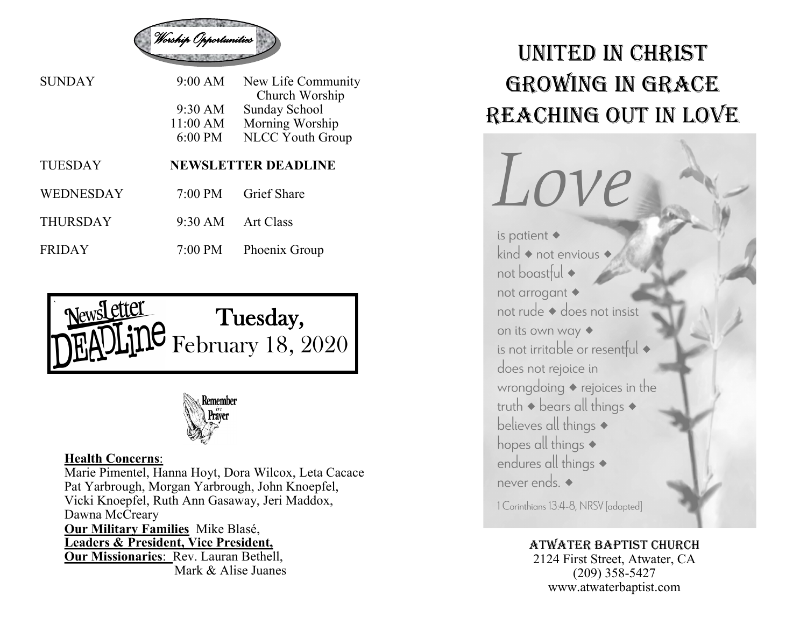

| <b>SUNDAY</b>  | $9:00 \text{ AM}$ | New Life Community<br>Church Worship |
|----------------|-------------------|--------------------------------------|
|                | 9:30 AM           | <b>Sunday School</b>                 |
|                | $11:00$ AM        | Morning Worship                      |
|                | 6:00 PM           | <b>NLCC Youth Group</b>              |
|                |                   |                                      |
| <b>TUESDAY</b> |                   | <b>NEWSLETTER DEADLINE</b>           |
| WEDNESDAY      | $7:00 \text{ PM}$ | <b>Grief Share</b>                   |

FRIDAY 7:00 PM Phoenix Group





## **Health Concerns**:

Marie Pimentel, Hanna Hoyt, Dora Wilcox, Leta Cacace Pat Yarbrough, Morgan Yarbrough, John Knoepfel, Vicki Knoepfel, Ruth Ann Gasaway, Jeri Maddox, Dawna McCreary **Our Military Families** Mike Blasé, **Leaders & President, Vice President, Our Missionaries**: Rev. Lauran Bethell, Mark & Alise Juanes

## United in Christ Growing in Grace REACHING OUT IN LOVE



1 Corinthians 13:4-8, NRSV [adapted]

## Atwater Baptist Church

2124 First Street, Atwater, CA (209) 358-5427 www.atwaterbaptist.com